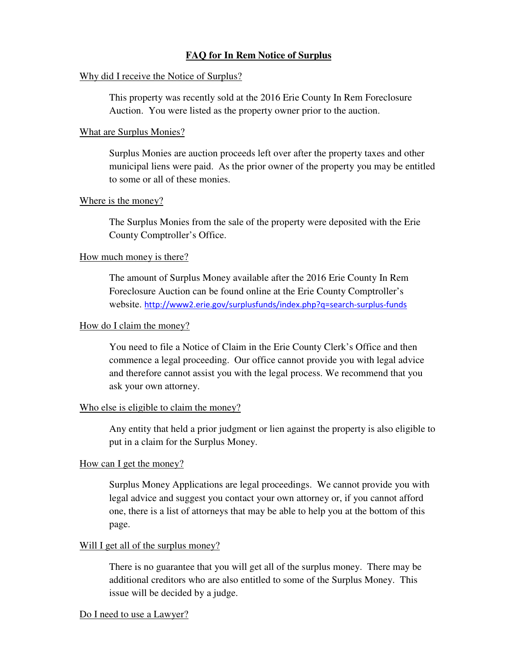# **FAQ for In Rem Notice of Surplus**

## Why did I receive the Notice of Surplus?

This property was recently sold at the 2016 Erie County In Rem Foreclosure Auction. You were listed as the property owner prior to the auction.

## What are Surplus Monies?

Surplus Monies are auction proceeds left over after the property taxes and other municipal liens were paid. As the prior owner of the property you may be entitled to some or all of these monies.

## Where is the money?

The Surplus Monies from the sale of the property were deposited with the Erie County Comptroller's Office.

## How much money is there?

The amount of Surplus Money available after the 2016 Erie County In Rem Foreclosure Auction can be found online at the Erie County Comptroller's website. http://www2.erie.gov/surplusfunds/index.php?q=search-surplus-funds

## How do I claim the money?

You need to file a Notice of Claim in the Erie County Clerk's Office and then commence a legal proceeding. Our office cannot provide you with legal advice and therefore cannot assist you with the legal process. We recommend that you ask your own attorney.

#### Who else is eligible to claim the money?

Any entity that held a prior judgment or lien against the property is also eligible to put in a claim for the Surplus Money.

#### How can I get the money?

Surplus Money Applications are legal proceedings. We cannot provide you with legal advice and suggest you contact your own attorney or, if you cannot afford one, there is a list of attorneys that may be able to help you at the bottom of this page.

#### Will I get all of the surplus money?

There is no guarantee that you will get all of the surplus money. There may be additional creditors who are also entitled to some of the Surplus Money. This issue will be decided by a judge.

#### Do I need to use a Lawyer?